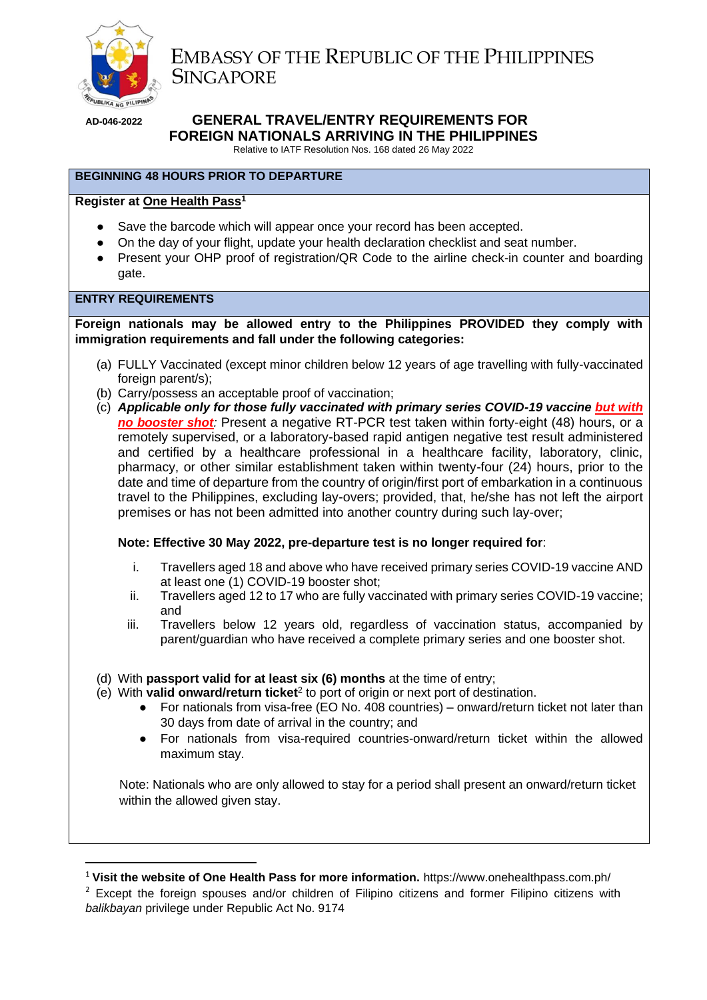

 EMBASSY OF THE REPUBLIC OF THE PHILIPPINES **SINGAPORE** 

# **AD-046-2022 GENERAL TRAVEL/ENTRY REQUIREMENTS FOR FOREIGN NATIONALS ARRIVING IN THE PHILIPPINES**

Relative to IATF Resolution Nos. 168 dated 26 May 2022

# **BEGINNING 48 HOURS PRIOR TO DEPARTURE**

# **Register at [One Health Pass](https://onehealthpass.com.ph/e-HDC/OHP/Registration/)<sup>1</sup>**

- Save the barcode which will appear once your record has been accepted.
- On the day of your flight, update your health declaration checklist and seat number.
- Present your OHP proof of registration/QR Code to the airline check-in counter and boarding gate.

## **ENTRY REQUIREMENTS**

**Foreign nationals may be allowed entry to the Philippines PROVIDED they comply with immigration requirements and fall under the following categories:** 

- (a) FULLY Vaccinated (except minor children below 12 years of age travelling with fully-vaccinated foreign parent/s);
- (b) Carry/possess an acceptable proof of vaccination;
- (c) *Applicable only for those fully vaccinated with primary series COVID-19 vaccine but with no booster shot:* Present a negative RT-PCR test taken within forty-eight (48) hours, or a remotely supervised, or a laboratory-based rapid antigen negative test result administered and certified by a healthcare professional in a healthcare facility, laboratory, clinic, pharmacy, or other similar establishment taken within twenty-four (24) hours, prior to the date and time of departure from the country of origin/first port of embarkation in a continuous travel to the Philippines, excluding lay-overs; provided, that, he/she has not left the airport premises or has not been admitted into another country during such lay-over;

## **Note: Effective 30 May 2022, pre-departure test is no longer required for**:

- i. Travellers aged 18 and above who have received primary series COVID-19 vaccine AND at least one (1) COVID-19 booster shot;
- ii. Travellers aged 12 to 17 who are fully vaccinated with primary series COVID-19 vaccine; and
- iii. Travellers below 12 years old, regardless of vaccination status, accompanied by parent/guardian who have received a complete primary series and one booster shot.
- (d) With **passport valid for at least six (6) months** at the time of entry;
- (e) With **valid onward/return ticket**<sup>2</sup> to port of origin or next port of destination.
	- For nationals from visa-free (EO No. 408 countries) onward/return ticket not later than 30 days from date of arrival in the country; and
	- For nationals from visa-required countries-onward/return ticket within the allowed maximum stay.

Note: Nationals who are only allowed to stay for a period shall present an onward/return ticket within the allowed given stay.

<sup>1</sup> **Visit the website of One Health Pass for more information.** https://www.onehealthpass.com.ph/

<sup>&</sup>lt;sup>2</sup> Except the foreign spouses and/or children of Filipino citizens and former Filipino citizens with *balikbayan* privilege under Republic Act No. 9174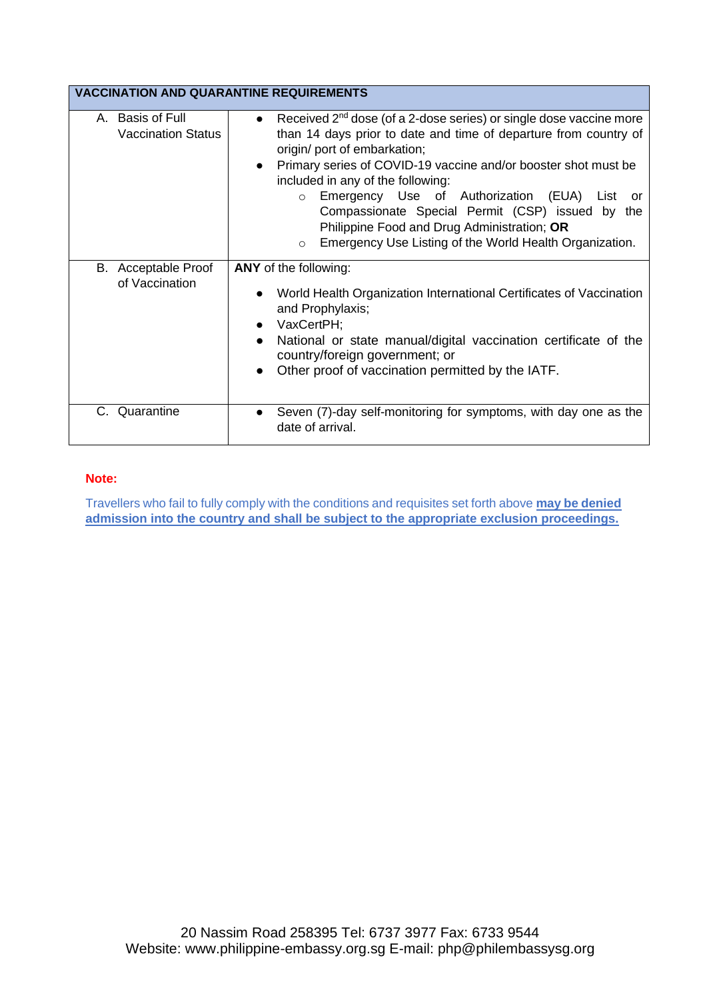| <b>VACCINATION AND QUARANTINE REQUIREMENTS</b> |                                                                                                                                                                                                                                                                                                                                                                                                                                                                                                                                                          |  |
|------------------------------------------------|----------------------------------------------------------------------------------------------------------------------------------------------------------------------------------------------------------------------------------------------------------------------------------------------------------------------------------------------------------------------------------------------------------------------------------------------------------------------------------------------------------------------------------------------------------|--|
| A. Basis of Full<br><b>Vaccination Status</b>  | Received 2 <sup>nd</sup> dose (of a 2-dose series) or single dose vaccine more<br>$\bullet$<br>than 14 days prior to date and time of departure from country of<br>origin/ port of embarkation;<br>Primary series of COVID-19 vaccine and/or booster shot must be<br>$\bullet$<br>included in any of the following:<br>Emergency Use of Authorization (EUA) List or<br>$\circ$<br>Compassionate Special Permit (CSP) issued by the<br>Philippine Food and Drug Administration; OR<br>Emergency Use Listing of the World Health Organization.<br>$\Omega$ |  |
| B. Acceptable Proof<br>of Vaccination          | ANY of the following:<br>World Health Organization International Certificates of Vaccination<br>$\bullet$<br>and Prophylaxis;<br>VaxCertPH;<br>$\bullet$<br>National or state manual/digital vaccination certificate of the<br>$\bullet$<br>country/foreign government; or<br>Other proof of vaccination permitted by the IATF.<br>$\bullet$                                                                                                                                                                                                             |  |
| C. Quarantine                                  | Seven (7)-day self-monitoring for symptoms, with day one as the<br>$\bullet$<br>date of arrival.                                                                                                                                                                                                                                                                                                                                                                                                                                                         |  |

# **Note:**

Travellers who fail to fully comply with the conditions and requisites set forth above **may be denied admission into the country and shall be subject to the appropriate exclusion proceedings.**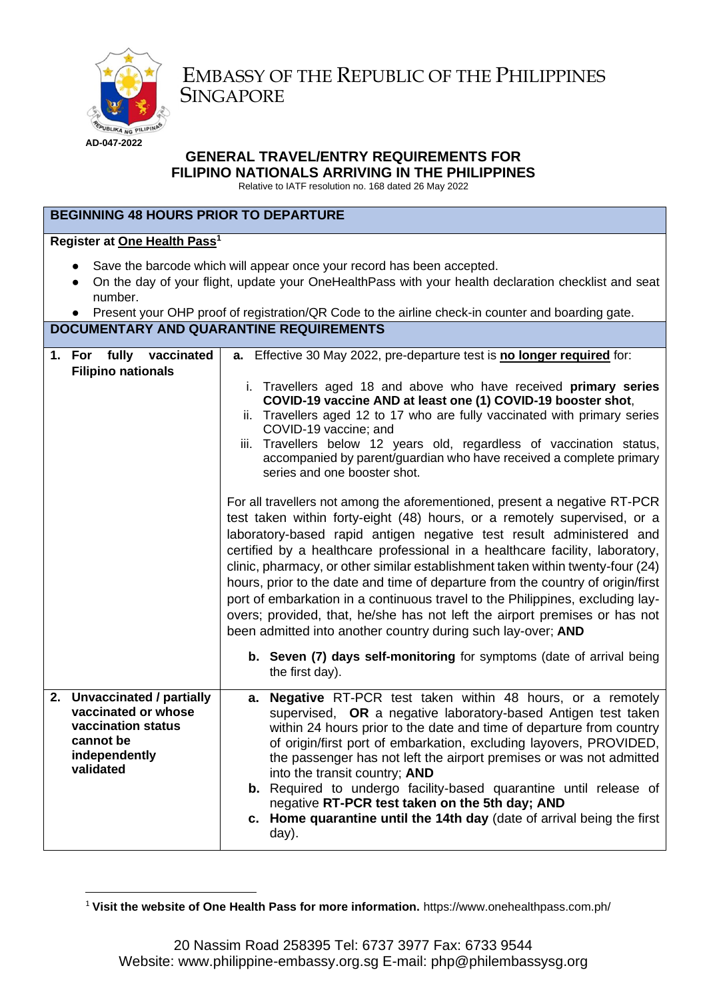

EMBASSY OF THE REPUBLIC OF THE PHILIPPINES **SINGAPORE** 

# **GENERAL TRAVEL/ENTRY REQUIREMENTS FOR FILIPINO NATIONALS ARRIVING IN THE PHILIPPINES**

Relative to IATF resolution no. 168 dated 26 May 2022

# **BEGINNING 48 HOURS PRIOR TO DEPARTURE**

# **Register at [One Health Pass](https://onehealthpass.com.ph/e-HDC/OHP/Registration/)<sup>1</sup>**

- Save the barcode which will appear once your record has been accepted.
- On the day of your flight, update your OneHealthPass with your health declaration checklist and seat number.
- Present your OHP proof of registration/QR Code to the airline check-in counter and boarding gate. **DOCUMENTARY AND QUARANTINE REQUIREMENTS**

| 1. For fully vaccinated<br><b>Filipino nationals</b>                                                                | a. Effective 30 May 2022, pre-departure test is no longer required for:<br>i. Travellers aged 18 and above who have received primary series<br>COVID-19 vaccine AND at least one (1) COVID-19 booster shot,<br>ii. Travellers aged 12 to 17 who are fully vaccinated with primary series<br>COVID-19 vaccine; and<br>iii. Travellers below 12 years old, regardless of vaccination status,<br>accompanied by parent/guardian who have received a complete primary<br>series and one booster shot.<br>For all travellers not among the aforementioned, present a negative RT-PCR<br>test taken within forty-eight (48) hours, or a remotely supervised, or a<br>laboratory-based rapid antigen negative test result administered and<br>certified by a healthcare professional in a healthcare facility, laboratory,<br>clinic, pharmacy, or other similar establishment taken within twenty-four (24)<br>hours, prior to the date and time of departure from the country of origin/first<br>port of embarkation in a continuous travel to the Philippines, excluding lay-<br>overs; provided, that, he/she has not left the airport premises or has not<br>been admitted into another country during such lay-over; AND |
|---------------------------------------------------------------------------------------------------------------------|-------------------------------------------------------------------------------------------------------------------------------------------------------------------------------------------------------------------------------------------------------------------------------------------------------------------------------------------------------------------------------------------------------------------------------------------------------------------------------------------------------------------------------------------------------------------------------------------------------------------------------------------------------------------------------------------------------------------------------------------------------------------------------------------------------------------------------------------------------------------------------------------------------------------------------------------------------------------------------------------------------------------------------------------------------------------------------------------------------------------------------------------------------------------------------------------------------------------------|
|                                                                                                                     | b. Seven (7) days self-monitoring for symptoms (date of arrival being<br>the first day).                                                                                                                                                                                                                                                                                                                                                                                                                                                                                                                                                                                                                                                                                                                                                                                                                                                                                                                                                                                                                                                                                                                                |
| 2. Unvaccinated / partially<br>vaccinated or whose<br>vaccination status<br>cannot be<br>independently<br>validated | a. Negative RT-PCR test taken within 48 hours, or a remotely<br>supervised, OR a negative laboratory-based Antigen test taken<br>within 24 hours prior to the date and time of departure from country<br>of origin/first port of embarkation, excluding layovers, PROVIDED,<br>the passenger has not left the airport premises or was not admitted<br>into the transit country; AND<br><b>b.</b> Required to undergo facility-based quarantine until release of<br>negative RT-PCR test taken on the 5th day; AND<br>c. Home quarantine until the 14th day (date of arrival being the first<br>day).                                                                                                                                                                                                                                                                                                                                                                                                                                                                                                                                                                                                                    |

<sup>1</sup> **Visit the website of One Health Pass for more information.** https://www.onehealthpass.com.ph/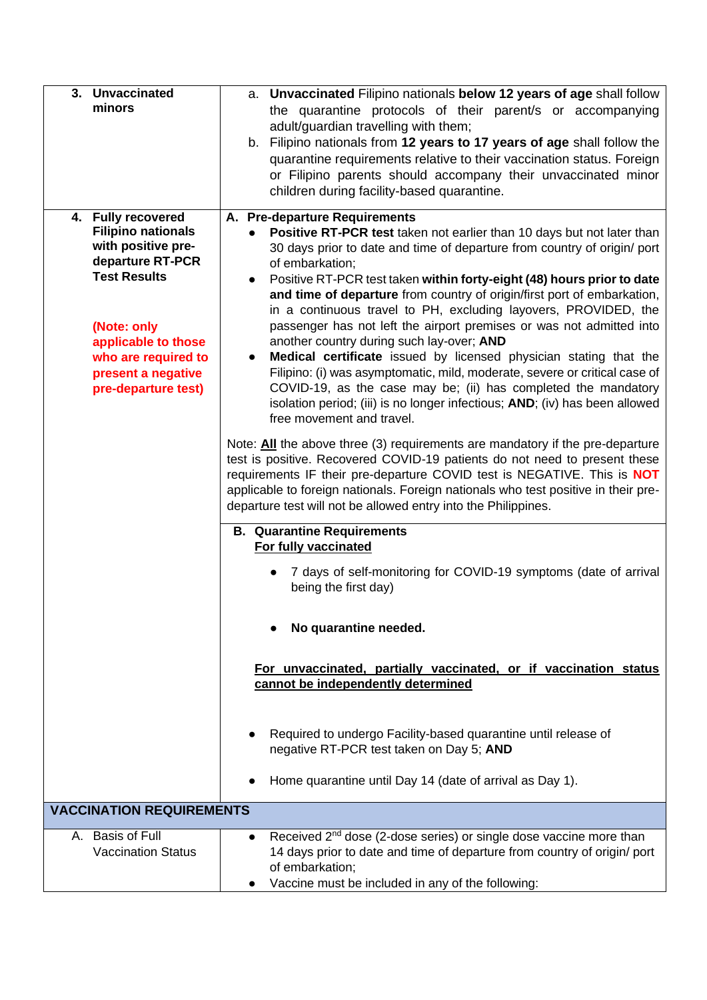| 3. Unvaccinated                                 | a. Unvaccinated Filipino nationals below 12 years of age shall follow                                      |
|-------------------------------------------------|------------------------------------------------------------------------------------------------------------|
| minors                                          | the quarantine protocols of their parent/s or accompanying                                                 |
|                                                 | adult/guardian travelling with them;                                                                       |
|                                                 | b. Filipino nationals from 12 years to 17 years of age shall follow the                                    |
|                                                 | quarantine requirements relative to their vaccination status. Foreign                                      |
|                                                 | or Filipino parents should accompany their unvaccinated minor                                              |
|                                                 | children during facility-based quarantine.                                                                 |
|                                                 |                                                                                                            |
| 4. Fully recovered<br><b>Filipino nationals</b> | A. Pre-departure Requirements<br>Positive RT-PCR test taken not earlier than 10 days but not later than    |
| with positive pre-                              | 30 days prior to date and time of departure from country of origin/ port                                   |
| departure RT-PCR                                | of embarkation;                                                                                            |
| <b>Test Results</b>                             | Positive RT-PCR test taken within forty-eight (48) hours prior to date                                     |
|                                                 | and time of departure from country of origin/first port of embarkation,                                    |
|                                                 | in a continuous travel to PH, excluding layovers, PROVIDED, the                                            |
| (Note: only                                     | passenger has not left the airport premises or was not admitted into                                       |
| applicable to those                             | another country during such lay-over; AND                                                                  |
| who are required to                             | Medical certificate issued by licensed physician stating that the                                          |
| present a negative                              | Filipino: (i) was asymptomatic, mild, moderate, severe or critical case of                                 |
| pre-departure test)                             | COVID-19, as the case may be; (ii) has completed the mandatory                                             |
|                                                 | isolation period; (iii) is no longer infectious; AND; (iv) has been allowed                                |
|                                                 | free movement and travel.                                                                                  |
|                                                 | Note: All the above three (3) requirements are mandatory if the pre-departure                              |
|                                                 | test is positive. Recovered COVID-19 patients do not need to present these                                 |
|                                                 | requirements IF their pre-departure COVID test is NEGATIVE. This is <b>NOT</b>                             |
|                                                 | applicable to foreign nationals. Foreign nationals who test positive in their pre-                         |
|                                                 | departure test will not be allowed entry into the Philippines.                                             |
|                                                 | <b>B. Quarantine Requirements</b>                                                                          |
|                                                 | For fully vaccinated                                                                                       |
|                                                 | 7 days of self-monitoring for COVID-19 symptoms (date of arrival                                           |
|                                                 | being the first day)                                                                                       |
|                                                 |                                                                                                            |
|                                                 | No quarantine needed.                                                                                      |
|                                                 |                                                                                                            |
|                                                 |                                                                                                            |
|                                                 | For unvaccinated, partially vaccinated, or if vaccination status                                           |
|                                                 | cannot be independently determined                                                                         |
|                                                 |                                                                                                            |
|                                                 |                                                                                                            |
|                                                 | Required to undergo Facility-based quarantine until release of<br>negative RT-PCR test taken on Day 5; AND |
|                                                 |                                                                                                            |
|                                                 | Home quarantine until Day 14 (date of arrival as Day 1).                                                   |
|                                                 |                                                                                                            |
| <b>VACCINATION REQUIREMENTS</b>                 |                                                                                                            |
| A. Basis of Full                                | Received 2 <sup>nd</sup> dose (2-dose series) or single dose vaccine more than<br>$\bullet$                |
| <b>Vaccination Status</b>                       | 14 days prior to date and time of departure from country of origin/ port                                   |
|                                                 | of embarkation;                                                                                            |
|                                                 | Vaccine must be included in any of the following:                                                          |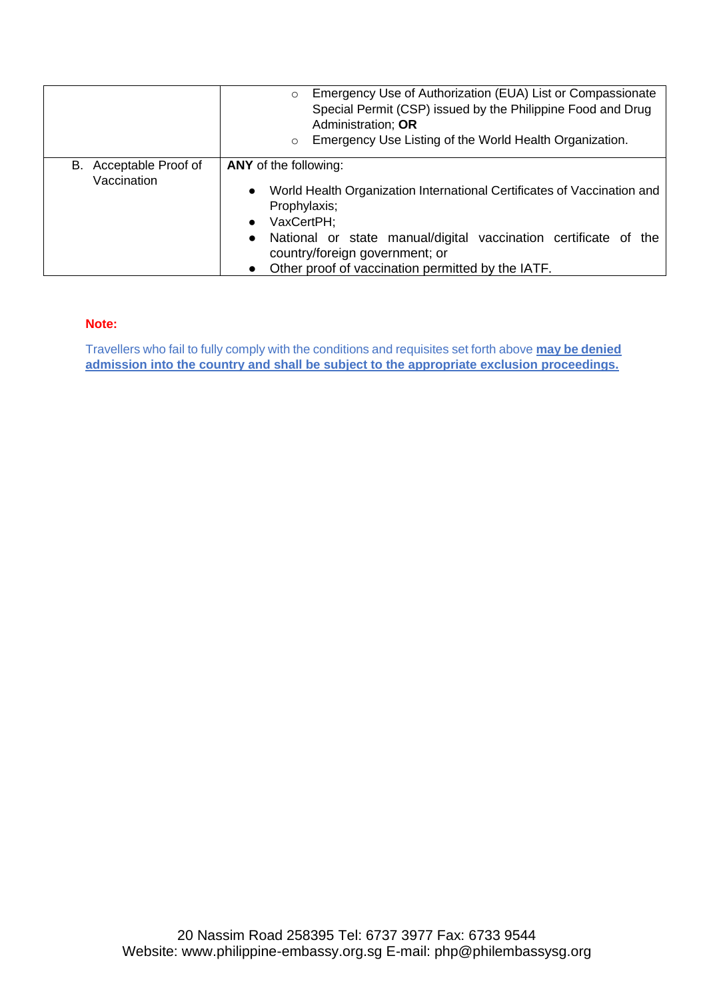|                                       | Emergency Use of Authorization (EUA) List or Compassionate<br>$\circ$<br>Special Permit (CSP) issued by the Philippine Food and Drug<br>Administration; OR<br>Emergency Use Listing of the World Health Organization.<br>$\circ$                                                                                                |
|---------------------------------------|---------------------------------------------------------------------------------------------------------------------------------------------------------------------------------------------------------------------------------------------------------------------------------------------------------------------------------|
| B. Acceptable Proof of<br>Vaccination | ANY of the following:<br>World Health Organization International Certificates of Vaccination and<br>$\bullet$<br>Prophylaxis;<br>VaxCertPH:<br>$\bullet$<br>National or state manual/digital vaccination certificate of the<br>$\bullet$<br>country/foreign government; or<br>Other proof of vaccination permitted by the IATF. |

#### **Note:**

Travellers who fail to fully comply with the conditions and requisites set forth above **may be denied admission into the country and shall be subject to the appropriate exclusion proceedings.**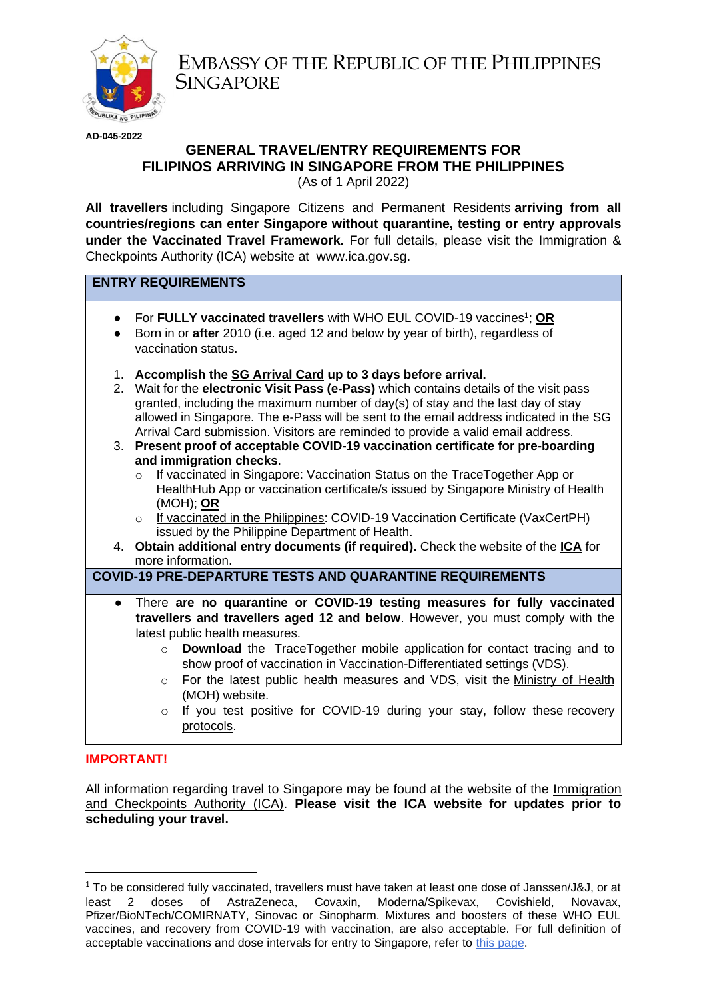

EMBASSY OF THE REPUBLIC OF THE PHILIPPINES **SINGAPORE** 

**AD-045-2022**

# **GENERAL TRAVEL/ENTRY REQUIREMENTS FOR FILIPINOS ARRIVING IN SINGAPORE FROM THE PHILIPPINES**

(As of 1 April 2022)

**All travellers** including Singapore Citizens and Permanent Residents **arriving from all countries/regions can enter Singapore without quarantine, testing or entry approvals under the Vaccinated Travel Framework.** For full details, please visit the Immigration & Checkpoints Authority (ICA) website at www.ica.gov.sg.

# **ENTRY REQUIREMENTS**

- For **FULLY vaccinated travellers** with WHO EUL COVID-19 vaccines<sup>1</sup>; **OR**
- Born in or **after** 2010 (i.e. aged 12 and below by year of birth), regardless of vaccination status.
- 1. **Accomplish the [SG Arrival Card](https://eservices.ica.gov.sg/sgarrivalcard/) up to 3 days before arrival.**
- 2. Wait for the **electronic Visit Pass (e-Pass)** which contains details of the visit pass granted, including the maximum number of day(s) of stay and the last day of stay allowed in Singapore. The e-Pass will be sent to the email address indicated in the SG Arrival Card submission. Visitors are reminded to provide a valid email address.
- 3. **Present proof of acceptable COVID-19 vaccination certificate for pre-boarding and immigration checks**.
	- o If vaccinated in Singapore: Vaccination Status on the TraceTogether App or HealthHub App or vaccination certificate/s issued by Singapore Ministry of Health (MOH); **OR**
	- o If vaccinated in the Philippines: COVID-19 Vaccination Certificate (VaxCertPH) issued by the Philippine Department of Health.
- 4. **Obtain additional entry documents (if required).** Check the website of the **[ICA](https://safetravel.ica.gov.sg/arriving/general-travel/fully-vaccinated)** for more information.

## **COVID-19 PRE-DEPARTURE TESTS AND QUARANTINE REQUIREMENTS**

- There **are no quarantine or COVID-19 testing measures for fully vaccinated travellers and travellers aged 12 and below**. However, you must comply with the latest public health measures.
	- o **Download** the [TraceTogether mobile application](https://www.tracetogether.gov.sg/) for contact tracing and to show proof of vaccination in Vaccination-Differentiated settings (VDS).
	- $\circ$  For the latest public health measures and VDS, visit the Ministry of Health [\(MOH\) website.](https://moh.gov.sg/covid-19-phase-advisory)
	- $\circ$  If you test positive for COVID-19 during your stay, follow these recovery [protocols.](https://www.covid.gov.sg/travellers)

## **IMPORTANT!**

All information regarding travel to Singapore may be found at the website of the [Immigration](https://safetravel.ica.gov.sg/arriving/general-travel/fully-vaccinated)  [and Checkpoints Authority \(ICA\).](https://safetravel.ica.gov.sg/arriving/general-travel/fully-vaccinated) **Please visit the ICA website for updates prior to scheduling your travel.** 

 $1$  To be considered fully vaccinated, travellers must have taken at least one dose of Janssen/J&J, or at least 2 doses of AstraZeneca, Covaxin, Moderna/Spikevax, Covishield, Novavax, Pfizer/BioNTech/COMIRNATY, Sinovac or Sinopharm. Mixtures and boosters of these WHO EUL vaccines, and recovery from COVID-19 with vaccination, are also acceptable. For full definition of acceptable vaccinations and dose intervals for entry to Singapore, refer to [this page.](https://safetravel.ica.gov.sg/arriving/overview#vaccination)